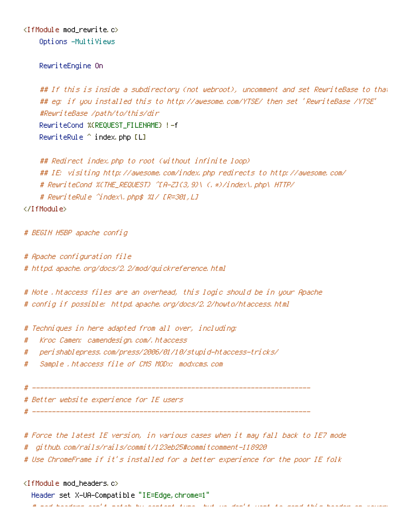<IfModule mod\_rewrite.c> Options -MultiViews

## RewriteEngine On

## If this is inside a subdirectory (not webroot), uncomment and set RewriteBase to that ## eq: if you installed this to http://awesome.com/YTSE/ then set 'RewriteBase /YTSE' #RewriteBase /path/to/this/dir

RewriteCond %(REQUEST FILENAME) !- f RewriteRule ^ index.php [L]

```
## Redirect index.php to root (without infinite loop)
## IE: visiting http://awesome.com/index.php redirects to http://awesome.com/
# ReuriteCond %(THE_REQUEST) ^[A-ZI(3,9)\ (,*)/index\,php\ HTTP/
# ReuriteRule ^index\.php$ %1/ [R=301,L]
```
</TifModule>

# BEGIN H5BP apache config

# Apache configuration file # httpd.apache.org/docs/2.2/mod/quickreference.html

# Note .htaccess files are an overhead, this logic should be in your Apache # config if possible: httpd.apache.org/docs/2.2/howto/htaccess.html

# Techniques in here adapted from all over, including:

- Kroc Camen: camendesign.com/.htaccess #
- peri shabl epress, com/press/2006/01/10/stupi d-htaccess-tri cks/ #
- Sample , htaccess file of CMS MODx; modxcms, com #

 $\begin{array}{cccccccccc} \multicolumn{2}{c}{} & \multicolumn{2}{c}{} & \multicolumn{2}{c}{} & \multicolumn{2}{c}{} & \multicolumn{2}{c}{} & \multicolumn{2}{c}{} & \multicolumn{2}{c}{} & \multicolumn{2}{c}{} & \multicolumn{2}{c}{} & \multicolumn{2}{c}{} & \multicolumn{2}{c}{} & \multicolumn{2}{c}{} & \multicolumn{2}{c}{} & \multicolumn{2}{c}{} & \multicolumn{2}{c}{} & \multicolumn{2}{c}{} & \multicolumn{2}{c}{} & \multicolumn{2}{c}{} & \multicolumn{2}{c}{} & \mult$ 

# Better website experience for IE users

- # Force the latest IE version, in various cases when it may fall back to IE7 mode
- # github.com/rails/rails/commit/123eb25#commitcomment-118920
- # Use ChromeFrame if it's installed for a better experience for the poor IE folk

<IfModule mod\_headers.c>

Header set X-UA-Compatible "IE=Edge, chrome=1"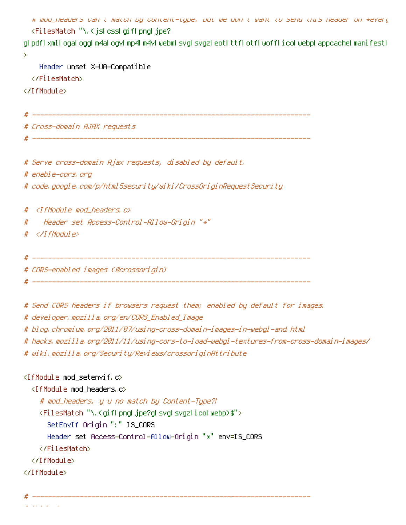```
# mod_neaders can t match by content-type, but we don t want to send this neader on *ever!
 <FilesMatch "\.(jslcsslgiflpngljpe?
glipdflixmlliogaliogglim4aliogvlimp4lm4vliwebmlisvglisvgzlieotlittfliotfliwofflicoliwebpliappcachelmanifestli
\mathbf{\hat{z}}Header unset X-UA-Compatible
 </FilesMatch>
</IfModule>
# Cross-domain AJAX requests
# Serve cross-domain Ajax requests, disabled by default.
# enable-cors, org
# code, google, com/p/html5security/wiki/CrossOriginRequestSecurity
  \langle IfModule mod headers,c \rangle#
  - Header set Access-Control-Allow-Origin "*"
#
 \langle/IfModule\rangle#
 # CORS-enabled images (@crossorigin)
 # Send CORS headers if browsers request them; enabled by default for images,
# developer, mozilla, org/en/CORS_Enabled_Image
# blog.chromium.org/2011/07/using-cross-domain-images-in-webgl-and.html
# hacks.mozilla.org/2011/11/using-cors-to-load-webgl-textures-from-cross-domain-images/
# wiki.mozilla.org/Security/Reviews/crossoriginAttribute
\langleIfModule mod setenvif.c>
 <IfModule mod_headers.c>
   # mod_headers, y u no match by Content-Type?!
   <FilesMatch "\.(giflpngl.jpe?glsvglsvgzlicolwebp)$">
     SetEnvIf Origin ":" IS_CORS
     Header set Access-Control-Allow-Origin "*" env=IS_CORS
   </FilesMatch>
 </IfModule>
```
</IfModule>

 $\alpha$  . The state of the state  $\alpha$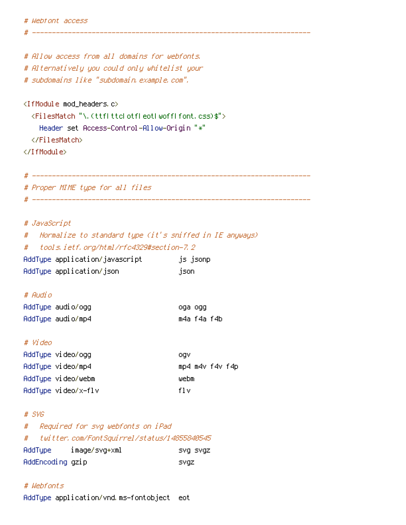# Allow access from all domains for webfonts. # Alternatively you could only whitelist your # subdomains like "subdomain, example, com",

<IfModule mod\_headers.c>

<FilesMatch "\.(ttflttclotfleotlwofflfont.css)\$"> Header set Access-Control-Allow-Origin "\*" </FilesMatch> </IfModule>

# Proper MIME type for all files

# JavaScript

- Normalize to standard type (it's sniffed in IE anyways) #
- # tools.ietf.org/html/rfc4329#section-7.2

| AddType application/javascript | js jsonp |
|--------------------------------|----------|
| AddType application/json       | json.    |

## # Audio

| AddType audio/ogg | oga ogg |             |
|-------------------|---------|-------------|
| AddType audio/mp4 |         | m4a f4a f4b |

## # Video

| AddType video/ogg   | oav             |
|---------------------|-----------------|
| AddType video/mp4   | mp4 m4v f4v f4p |
| AddTupe video/webm  | webm            |
| AddTupe video/x-flv | fl v            |

#### # SVG

```
Required for svg webfonts on iPad
#
   twitter.com/FontSquirrel/status/14855840545
#
AddType image/svg+xml
                                    svg svgz
AddEncoding gzip
                                     svgz.
```
### # Webfonts

AddType application/vnd.ms-fontobject eot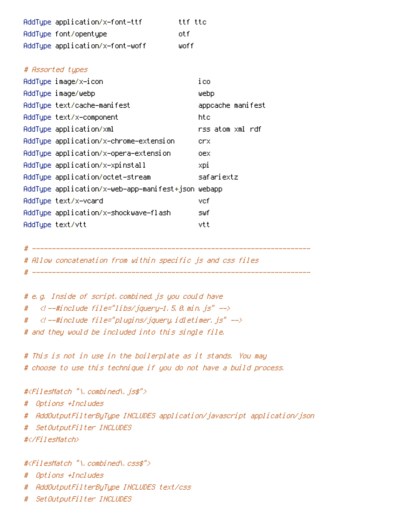| AddType application/x-font-ttf  | ttf ttc |
|---------------------------------|---------|
| AddType font/opentype           | nt f    |
| AddType application/x-font-woff | wof f   |

## # Assorted types

| AddType image/x-icon                               | ico               |
|----------------------------------------------------|-------------------|
| AddType image/webp                                 | webp              |
| AddType text/cache-manifest                        | appcache manifest |
| AddType text/x-component                           | htc               |
| AddTupe application/xml                            | rss atom xml rdf  |
| AddType application/x-chrome-extension             | crx               |
| AddType application/x-opera-extension              | oex               |
| AddType application/x-xpinstall                    | xpi               |
| AddTupe application/octet-stream                   | safariextz        |
| AddType application/x-web-app-manifest+json webapp |                   |
| AddTupe text/x-vcard                               | vcf               |
| AddTupe application/x-shockwave-flash              | swf               |
| AddTupe text/vtt                                   | vtt               |

# # Allow concatenation from within specific js and css files

# ----------------------------

# e.g. Inside of script, combined, js you could have  $\langle$  --#include file="libs/jquery-1.5.0.min.js" -->  $#$  $\prec$ ! --#include file="plugins/jquery,idletimer,js" -->  $#$ # and they would be included into this single file.

# This is not in use in the boilerplate as it stands. You may # choose to use this technique if you do not have a build process.

#<FilesMatch "\.combined\.js\$">

# Options +Includes

- # AddOutputFilterByType INCLUDES application/javascript application/json
- # SetOutputFilter INCLUDES

#</FilesMatch>

#<FilesMatch "\.combined\.css\$">

- # Options +Includes
- # AddOutputFilterByType INCLUDES text/css
- # SetOutputFilter INCLUDES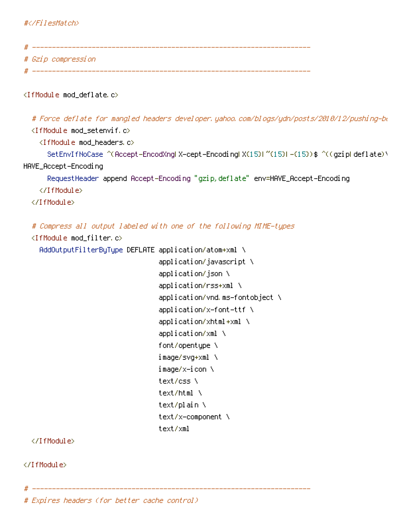#</FilesMatch>

```
# Gzip compression
```
<IfModule mod\_deflate.c>

```
# Force deflate for mangled headers developer, yahoo, com/blogs/ydn/posts/2010/12/pushing-bu
  <IfModule mod setenvif.c>
    <IfModule mod_headers.c>
      SetEnvIfNoCase ^(Accept-EncodXngLX-cept-EncodingLX(15)L~(15)L-(15))$ ^((gzipLdeflate)\
HAVE_Accept-Encoding
      RequestHeader append Accept-Encoding "gzip, deflate" env=HAVE_Accept-Encoding
    </IfModule>
  </IfModule>
```
# Compress all output labeled with one of the following MIME-types

 $\langle$ IfModule mod filter.c $\rangle$ 

AddOutputFilterByType DEFLATE application/atom+xml \

```
application/javascript \
application/json \
application/rss+xml \
application/vnd.ms-fontobject \
application/x-font-ttf \
application/xhtml+xml \ \ \ \backslashapplication/xml \
font/opentupe \
image/svg+xml \
image/x-icon \
text/css \
text/html \
text/plain \
text/x-component \
text/xml
```
</IfModule>

</IfModule>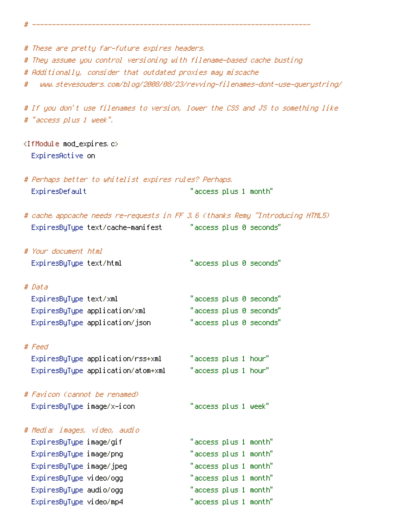# These are pretty far-future expires headers. # They assume you control versioning with filename-based cache busting # Additionally, consider that outdated proxies may miscache www.stevesouders.com/blog/2008/08/23/revving-filenames-dont-use-querystring/ # # If you don't use filenames to version, lower the CSS and JS to something like # "access plus 1 week". <IfModule mod\_expires.c> ExpiresActive on # Perhaps better to whitelist expires rules? Perhaps. ExpiresDefault "access plus 1 month" # cache appcache needs re-requests in FF 3.6 (thanks Remy "Introducing HTML5) ExpiresByType text/cache—manifest "access plus 0 seconds" # Your document html "access plus 0 seconds" ExpiresByType text/html # Data ExpiresByType text/xml "access plus 0 seconds" "access plus 0 seconds" ExpiresByType application/xml "access plus 0 seconds" ExpiresByType application/json # Feed "access plus 1 hour" ExpiresByType application/rss+xml "access plus 1 hour" ExpiresByType application/atom+xml # Favicon (cannot be renamed) "access plus 1 week" ExpiresByType image/x-icon # Media: images, video, audio "access plus 1 month" ExpiresByType image/gif "access plus 1 month" ExpiresByType image/png "access plus 1 month" ExpiresByType image/jpeg "access plus 1 month" ExpiresByType video/ogg "access plus 1 month" Expi resByType audio/ogg "access plus 1 month" ExpiresByType video/mp4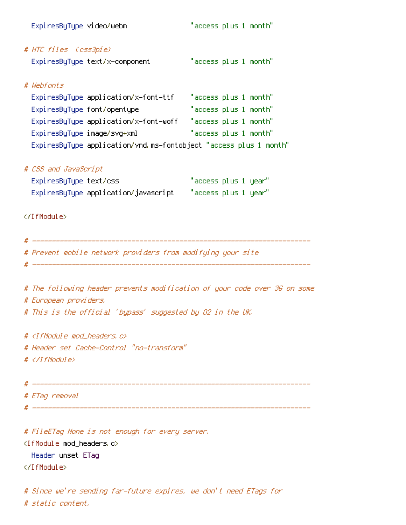| ExpiresByType video/webm                                                  | "access plus 1 month"                             |
|---------------------------------------------------------------------------|---------------------------------------------------|
| # HTC files (css3pie)                                                     |                                                   |
| ExpiresByType text/x-component                                            | "access plus 1 month"                             |
| # Webfonts                                                                |                                                   |
|                                                                           |                                                   |
| ExpiresByType font/opentype                                               | "access plus 1 month"                             |
| ExpiresByType application/x-font-woff "access plus 1 month"               |                                                   |
| ExpiresByType image/svg+xml                                               | $\blacksquare$ access plus 1 month $\blacksquare$ |
| ExpiresByType application/vnd.ms-fontobject "access plus 1 month"         |                                                   |
| # CSS and JavaScript                                                      |                                                   |
| ExpiresByType text/css                                                    | "access plus 1 year"                              |
|                                                                           |                                                   |
|                                                                           |                                                   |
|                                                                           |                                                   |
| # Prevent mobile network providers from modifying your site               |                                                   |
|                                                                           |                                                   |
| # The following header prevents modification of your code over 3G on some |                                                   |
| # European providers.                                                     |                                                   |
| # This is the official 'bypass' suggested by 02 in the UK.                |                                                   |
| # <ifmodule mod_headers.c=""></ifmodule>                                  |                                                   |
| # Header set Cache-Control "no-transform"                                 |                                                   |
| #                                                                         |                                                   |
|                                                                           |                                                   |
| # ETag removal                                                            |                                                   |
|                                                                           |                                                   |
| # FileETag None is not enough for every server.                           |                                                   |
| <ifmodule mod_headers.c=""></ifmodule>                                    |                                                   |
| Header unset ETag                                                         |                                                   |
|                                                                           |                                                   |

# Since we're sending far-future expires, we don't need ETags for # static content.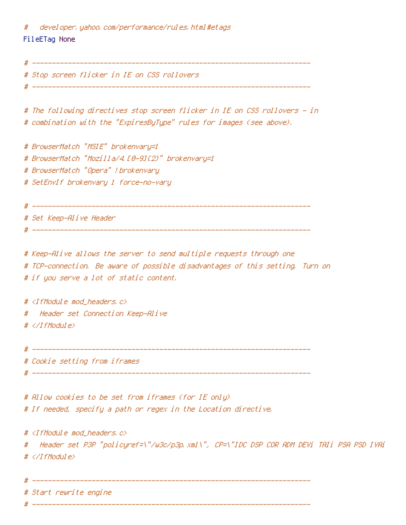developer, yahoo, com/performance/rules, html#etags # FileETag None

# Stop screen flicker in IE on CSS rollovers # The following directives stop screen flicker in IE on CSS rollovers - in # combination with the "ExpiresByType" rules for images (see above). # BrowserMatch "MSIE" brokenvary=1 # BrowserMatch "Mozilla/4.[0-9](2)" brokenvary=1 # BrowserMatch "Opera" ! brokenvary # SetEnvIf brokenvary 1 force-no-vary # Set Keep-Alive Header # Keep-Alive allows the server to send multiple requests through one # TCP-connection. Be aware of possible disadvantages of this setting. Turn on # if you serve a lot of static content. # <IfModule mod\_headers.c> - Header set Connection Keep-Alive # # </IfModule> # Cookie setting from iframes # Allow cookies to be set from iframes (for IE only) # If needed, specify a path or regex in the Location directive. # <IfModule mod headers, c> Header set P3P "policyref=\"/w3c/p3p.xml\", CP=\"IDC DSP COR ADM DEVi TAIi PSA PSD IVAi #  $# \langle \angle I$ f Modul e $\rangle$ # Start rewrite engine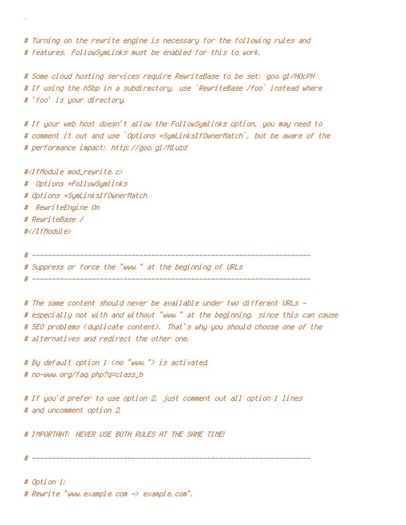# Turning on the rewrite engine is necessary for the following rules and # features. FollowSymLinks must be enabled for this to work.

# Some cloud hosting services require RewriteBase to be set: goo.gl/HOcPN # If using the h5bp in a subdirectory, use `RewriteBase /foo` instead where # 'foo' is your directory.

# If your web host doesn't allow the FollowSymlinks option, you may need to # comment it out and use `Options +SymLinksIfOwnerMatch`, but be aware of the # performance impact: http://goo.gl/Mluzd

#<IfModule mod\_rewrite.c> # Options +FollowSymlinks # Options +SymLinksIfOwnerMatch # RewriteEngine On # RewriteBase / #</IfModule>

 $\bar{B}$ 

# Suppress or force the "www." at the beginning of URLs

# The same content should never be available under two different URLs -# especially not with and without "www." at the beginning, since this can cause # SEO problems (duplicate content). That's why you should choose one of the # alternatives and redirect the other one.

# By default option 1 (no "www.") is activated. # no-www.org/faq.php?q=class\_b

# If you'd prefer to use option 2, just comment out all option 1 lines # and uncomment option 2.

# IMPORTANT: NEVER USE BOTH RULES AT THE SAME TIME!

# Option 1:

# Reurite "www.example.com -> example.com".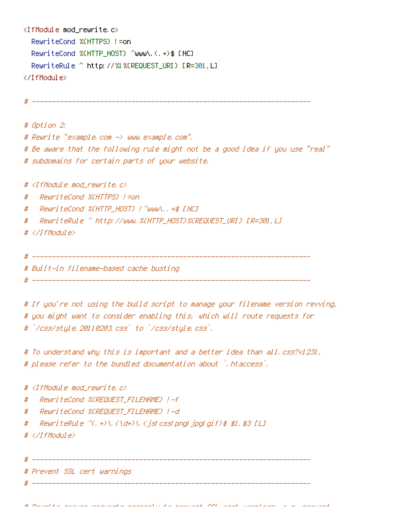| <ifmodule mod_rewrite.c=""></ifmodule>                             |
|--------------------------------------------------------------------|
| RewriteCond %(HTTPS) !=on                                          |
| RewriteCond %(HTTP_HOST) ^www\.(,+)\$ [NC]                         |
| RewriteRule ^ http://%1%(REQUEST_URI) [R=301,L]                    |
|                                                                    |
|                                                                    |
|                                                                    |
|                                                                    |
| # Option 2:                                                        |
| # Rewrite "example.com -> www.example.com".                        |
| # Be aware that the following rule might not be a good idea if you |
| # subdomains for certain parts of your website.                    |
|                                                                    |
| # <ifmodule mod_rewrite.c=""></ifmodule>                           |
| RewriteCond %(HTTPS) !=on<br>#                                     |
| ReuriteCond %CHTTP_HOST} ! ^www\+\$ [NC]<br>#                      |
| #                                                                  |

-------

use "real"

#  $\langle$ /IfModule>

# Built-in filename-based cache busting

# If you're not using the build script to manage your filename version revving, # you might want to consider enabling this, which will route requests for # `/css/style.20110203.css` to `/css/style.css`.

# To understand why this is important and a better idea than all.css?v1231, # please refer to the bundled documentation about `.htaccess`.

#  $\langle$ IfModule mod rewrite.c>

RewriteCond %CREQUEST\_FILENAME} !-f  $\boldsymbol{\#}$ 

RewriteCond %{REQUEST\_FILENAME} !-d  $#$ 

ReuriteRule  $\hat{C}$ , +) \,  $(\hat{A}d + \hat{C})$  \,  $(\hat{B}d \hat{C})$  and  $(\hat{B}d \hat{C})$  as  $\hat{B}d$  .  $\hat{B}d$ #

#  $\langle$ /IfModule>

# Prevent SSL cert warnings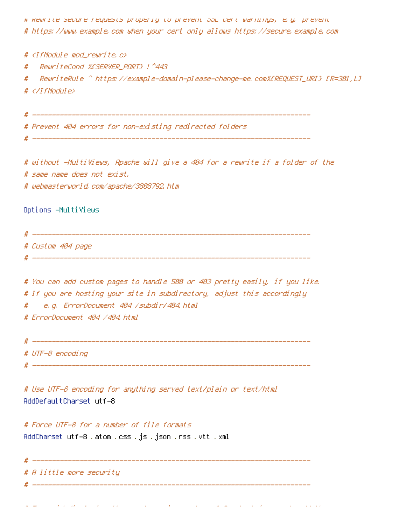# kewrite secure requests properly to prevent poL cert warnings, e.g. prevent # https://www.example.com when your cert only allows https://secure.example.com

# <IfModule mod\_rewrite.c>

# - RewriteCond %(SERVER PORT) !^443

#  $# \langle \angle If$ Module $\rangle$ 

# Prevent 404 errors for non-existing redirected folders

# without -MultiViews, Apache will give a 404 for a rewrite if a folder of the # same name does not exist.

# webmasterworld, com/apache/3808792, htm

Options -MultiViews

# -----------# Custom 404 page

# You can add custom pages to handle 500 or 403 pretty easily, if you like. # If you are hosting your site in subdirectory, adjust this accordingly # e.g. ErrorDocument 404 /subdir/404.html # ErrorDocument 404 /404.html

# UTF-8 encoding

# Use UTF-8 encoding for anything served text/plain or text/html AddDefaultCharset utf-8

# Force UTF-8 for a number of file formats

AddCharset utf-8 .atom .css .js .json .rss .vtt .xml

# A little more security

the contract of the contract of the contract of the contract of the contract of **Contract**  $\sim$  100  $\sim$  $\mathbf{u}^{\prime}$  and  $\mathbf{u}^{\prime}$ and the control of the state and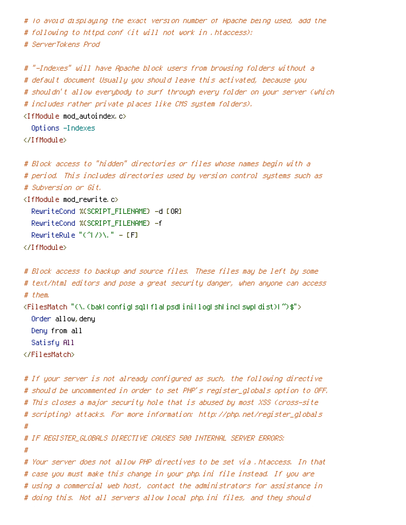# To avoid displaying the exact version number of Apache being used, add the # following to httpd.conf (it will not work in .htaccess); # ServerTokens Prod

# "-Indexes" will have Apache block users from browsing folders without a # default document Usually you should leave this activated, because you # shouldn't allow everybody to surf through every folder on your server (which # includes rather private places like CMS system folders).

<IfModule mod\_autoindex.c>

Options -Indexes </IfModule>

# Block access to "hidden" directories or files whose names begin with a # period. This includes directories used by version control systems such as # Subversion or Git.

<IfModule mod\_rewrite.c>

```
RewriteCond %(SCRIPT_FILENAME) -d [OR]
RewriteCond %(SCRIPT_FILENAME) -f
RewriteRule "(^\circ\uparrow/\rangle)." - [F]
```

```
</IfModule>
```

```
# Block access to backup and source files. These files may be left by some
# text/html editors and pose a great security danger, when anyone can access
# them.
<FilesMatch "(\,(baklconfigLsqlLflaLpsdLiniLlogLshLincLswpLdist)[")$">
  Order allow, deny
  Deny from all
  Satisfy All
</FilesMatch>
```

```
# If your server is not already configured as such, the following directive
# should be uncommented in order to set PHP's register_globals option to OFF.
# This closes a major security hole that is abused by most XSS (cross-site
# scripting) attacks. For more information: http://php.net/register_globals
## IF REGISTER_GLOBALS DIRECTIVE CAUSES 500 INTERNAL SERVER ERRORS:
#
# Your server does not allow PHP directives to be set via .htaccess. In that
# case you must make this change in your php.ini file instead. If you are
# using a commercial web host, contact the administrators for assistance in
# doing this. Not all servers allow local php.ini files, and they should
```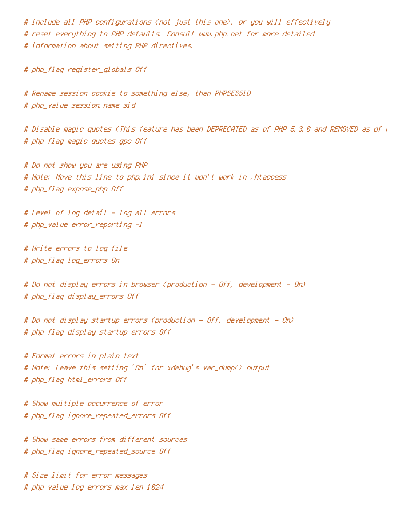# include all PHP configurations (not just this one), or you will effectively # reset everuthing to PHP defaults. Consult www.php.net for more detailed # information about setting PHP directives.

# php\_flag register\_globals Off

# Rename session cookie to something else, than PHPSESSID # php\_value session.name sid

# Disable magic guotes (This feature has been DEPRECATED as of PHP 5,3,0 and REMOVED as of ) # php\_flag magic\_quotes\_gpc Off

# Do not show you are using PHP # Note: Move this line to php.ini since it won't work in .htaccess # php\_flag expose\_php Off

# Level of log detail - log all errors # php\_value error\_reporting -1

# Write errors to log file # php\_flag log\_errors On

# Do not display errors in browser (production - Off, development - On) # php\_flag display\_errors Off

# Do not display startup errors (production – Off, development – On) # php\_flag display\_startup\_errors Off

# Format errors in plain text # Note: Leave this setting 'On' for xdebug's var\_dump() output # php\_flag html\_errors Off

# Show multiple occurrence of error # php\_flag ignore\_repeated\_errors Off

# Show same errors from different sources # php\_flag ignore\_repeated\_source Off

# Size limit for error messages # php\_value log\_errors\_max\_len 1024